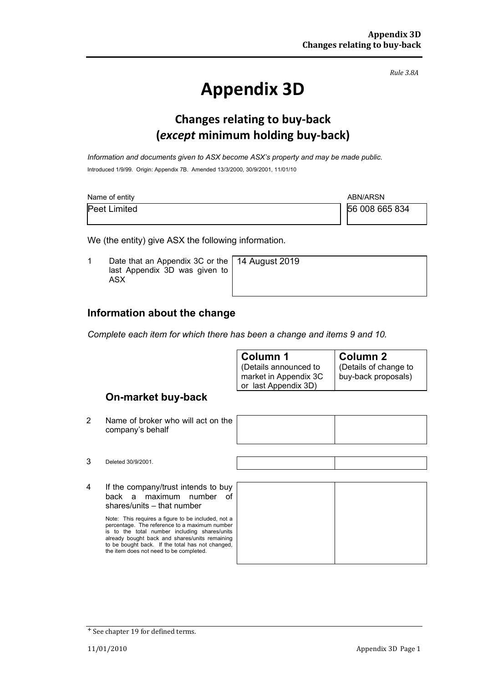*Rule 3.8A*

# **Appendix 3D**

### **Changes relating to buy-back (***except* **minimum holding buy-back)**

*Information and documents given to ASX become ASX's property and may be made public.* Introduced 1/9/99. Origin: Appendix 7B. Amended 13/3/2000, 30/9/2001, 11/01/10

| Name of entity      | ABN/ARSN       |
|---------------------|----------------|
| <b>Peet Limited</b> | 56 008 665 834 |

We (the entity) give ASX the following information.

1 Date that an Appendix 3C or the last Appendix 3D was given to ASX

14 August 2019

#### **Information about the change**

*Complete each item for which there has been a change and items 9 and 10.*

| Column 1                                                               | <b>Column 2</b>                             |
|------------------------------------------------------------------------|---------------------------------------------|
| (Details announced to<br>market in Appendix 3C<br>or last Appendix 3D) | Details of change to<br>buy-back proposals) |
|                                                                        |                                             |

#### **On-market buy-back**

2 Name of broker who will act on the company's behalf



4 If the company/trust intends to buy back a maximum number of shares/units – that number

> Note: This requires a figure to be included, not a percentage. The reference to a maximum number is to the total number including shares/units already bought back and shares/units remaining to be bought back. If the total has not changed, the item does not need to be completed.

<sup>+</sup> See chapter 19 for defined terms.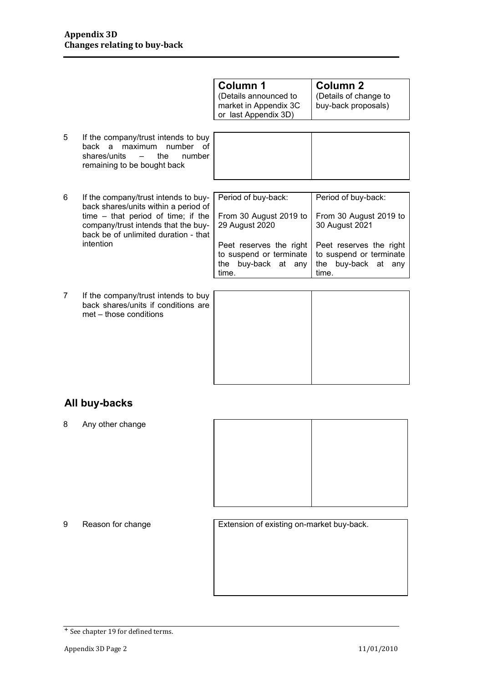|   |                                                                                                                                                                                                                         | Column 1<br>(Details announced to<br>market in Appendix 3C<br>or last Appendix 3D)                                                                       | <b>Column 2</b><br>(Details of change to<br>buy-back proposals)                                                                                       |
|---|-------------------------------------------------------------------------------------------------------------------------------------------------------------------------------------------------------------------------|----------------------------------------------------------------------------------------------------------------------------------------------------------|-------------------------------------------------------------------------------------------------------------------------------------------------------|
| 5 | If the company/trust intends to buy<br>back a maximum number of<br>the<br>shares/units<br>number<br>$\overline{\phantom{a}}$<br>remaining to be bought back                                                             |                                                                                                                                                          |                                                                                                                                                       |
| 6 | If the company/trust intends to buy-<br>back shares/units within a period of<br>time $-$ that period of time; if the<br>company/trust intends that the buy-<br>back be of unlimited duration - that<br><i>intention</i> | Period of buy-back:<br>From 30 August 2019 to<br>29 August 2020<br>Peet reserves the right<br>to suspend or terminate<br>buy-back at any<br>the<br>time. | Period of buy-back:<br>From 30 August 2019 to<br>30 August 2021<br>Peet reserves the right<br>to suspend or terminate<br>the buy-back at any<br>time. |
| 7 | If the company/trust intends to buy<br>back shares/units if conditions are<br>met – those conditions                                                                                                                    |                                                                                                                                                          |                                                                                                                                                       |

#### **All buy-backs**

8 Any other change



9 Reason for change Extension of existing on-market buy-back.

<sup>+</sup> See chapter 19 for defined terms.